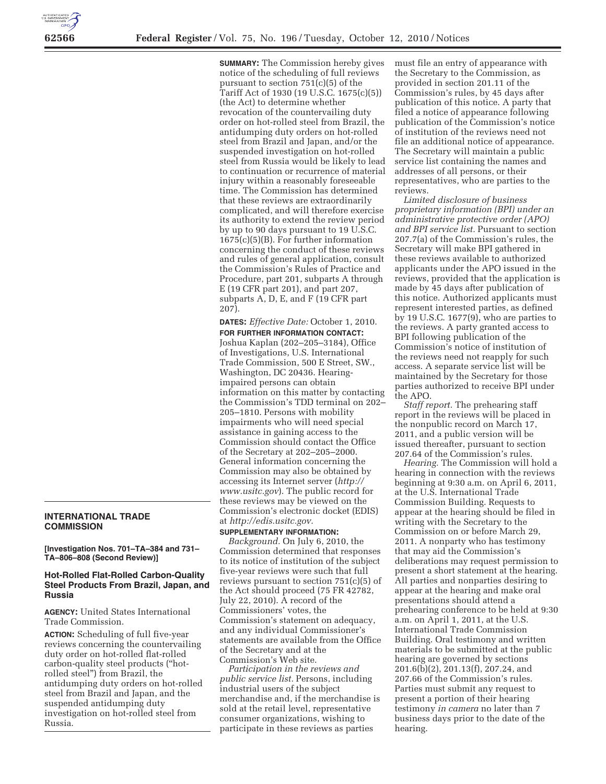# **INTERNATIONAL TRADE COMMISSION**

#### **[Investigation Nos. 701–TA–384 and 731– TA–806–808 (Second Review)]**

### **Hot-Rolled Flat-Rolled Carbon-Quality Steel Products From Brazil, Japan, and Russia**

**AGENCY:** United States International Trade Commission.

**ACTION:** Scheduling of full five-year reviews concerning the countervailing duty order on hot-rolled flat-rolled carbon-quality steel products (''hotrolled steel'') from Brazil, the antidumping duty orders on hot-rolled steel from Brazil and Japan, and the suspended antidumping duty investigation on hot-rolled steel from Russia.

**SUMMARY:** The Commission hereby gives notice of the scheduling of full reviews pursuant to section 751(c)(5) of the Tariff Act of 1930 (19 U.S.C. 1675(c)(5)) (the Act) to determine whether revocation of the countervailing duty order on hot-rolled steel from Brazil, the antidumping duty orders on hot-rolled steel from Brazil and Japan, and/or the suspended investigation on hot-rolled steel from Russia would be likely to lead to continuation or recurrence of material injury within a reasonably foreseeable time. The Commission has determined that these reviews are extraordinarily complicated, and will therefore exercise its authority to extend the review period by up to 90 days pursuant to 19 U.S.C. 1675(c)(5)(B). For further information concerning the conduct of these reviews and rules of general application, consult the Commission's Rules of Practice and Procedure, part 201, subparts A through E (19 CFR part 201), and part 207, subparts A, D, E, and F (19 CFR part 207).

**DATES:** *Effective Date:* October 1, 2010. **FOR FURTHER INFORMATION CONTACT:**  Joshua Kaplan (202–205–3184), Office of Investigations, U.S. International Trade Commission, 500 E Street, SW., Washington, DC 20436. Hearingimpaired persons can obtain information on this matter by contacting the Commission's TDD terminal on 202– 205–1810. Persons with mobility impairments who will need special assistance in gaining access to the Commission should contact the Office of the Secretary at 202–205–2000. General information concerning the Commission may also be obtained by accessing its Internet server (*http:// www.usitc.gov*). The public record for these reviews may be viewed on the Commission's electronic docket (EDIS) at *http://edis.usitc.gov.* 

## **SUPPLEMENTARY INFORMATION:**

*Background.* On July 6, 2010, the Commission determined that responses to its notice of institution of the subject five-year reviews were such that full reviews pursuant to section 751(c)(5) of the Act should proceed (75 FR 42782, July 22, 2010). A record of the Commissioners' votes, the Commission's statement on adequacy, and any individual Commissioner's statements are available from the Office of the Secretary and at the Commission's Web site.

*Participation in the reviews and public service list.* Persons, including industrial users of the subject merchandise and, if the merchandise is sold at the retail level, representative consumer organizations, wishing to participate in these reviews as parties

must file an entry of appearance with the Secretary to the Commission, as provided in section 201.11 of the Commission's rules, by 45 days after publication of this notice. A party that filed a notice of appearance following publication of the Commission's notice of institution of the reviews need not file an additional notice of appearance. The Secretary will maintain a public service list containing the names and addresses of all persons, or their representatives, who are parties to the reviews.

*Limited disclosure of business proprietary information (BPI) under an administrative protective order (APO) and BPI service list.* Pursuant to section 207.7(a) of the Commission's rules, the Secretary will make BPI gathered in these reviews available to authorized applicants under the APO issued in the reviews, provided that the application is made by 45 days after publication of this notice. Authorized applicants must represent interested parties, as defined by 19 U.S.C. 1677(9), who are parties to the reviews. A party granted access to BPI following publication of the Commission's notice of institution of the reviews need not reapply for such access. A separate service list will be maintained by the Secretary for those parties authorized to receive BPI under the APO.

*Staff report.* The prehearing staff report in the reviews will be placed in the nonpublic record on March 17, 2011, and a public version will be issued thereafter, pursuant to section 207.64 of the Commission's rules.

*Hearing.* The Commission will hold a hearing in connection with the reviews beginning at 9:30 a.m. on April 6, 2011, at the U.S. International Trade Commission Building. Requests to appear at the hearing should be filed in writing with the Secretary to the Commission on or before March 29, 2011. A nonparty who has testimony that may aid the Commission's deliberations may request permission to present a short statement at the hearing. All parties and nonparties desiring to appear at the hearing and make oral presentations should attend a prehearing conference to be held at 9:30 a.m. on April 1, 2011, at the U.S. International Trade Commission Building. Oral testimony and written materials to be submitted at the public hearing are governed by sections 201.6(b)(2), 201.13(f), 207.24, and 207.66 of the Commission's rules. Parties must submit any request to present a portion of their hearing testimony *in camera* no later than 7 business days prior to the date of the hearing.